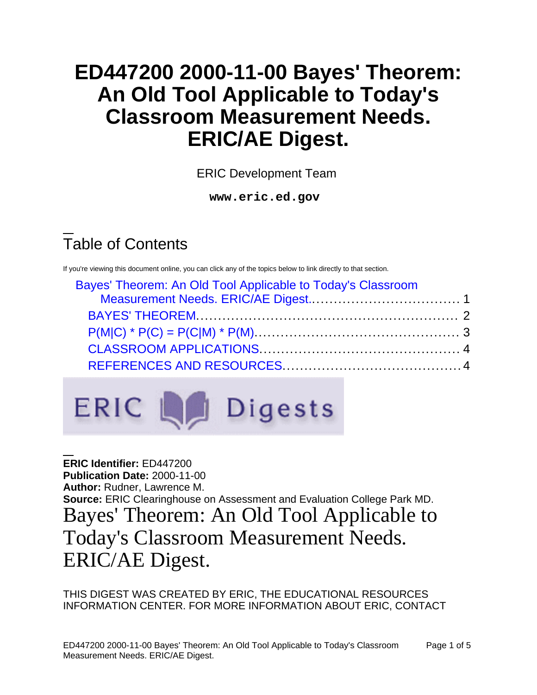# **ED447200 2000-11-00 Bayes' Theorem: An Old Tool Applicable to Today's Classroom Measurement Needs. ERIC/AE Digest.**

ERIC Development Team

**www.eric.ed.gov**

## Table of Contents

If you're viewing this document online, you can click any of the topics below to link directly to that section.

| Bayes' Theorem: An Old Tool Applicable to Today's Classroom |  |
|-------------------------------------------------------------|--|
|                                                             |  |
|                                                             |  |
|                                                             |  |
|                                                             |  |
|                                                             |  |
|                                                             |  |



<span id="page-0-0"></span>**ERIC Identifier:** ED447200 **Publication Date:** 2000-11-00 **Author:** Rudner, Lawrence M. **Source:** ERIC Clearinghouse on Assessment and Evaluation College Park MD. Bayes' Theorem: An Old Tool Applicable to Today's Classroom Measurement Needs. ERIC/AE Digest.

THIS DIGEST WAS CREATED BY ERIC, THE EDUCATIONAL RESOURCES INFORMATION CENTER. FOR MORE INFORMATION ABOUT ERIC, CONTACT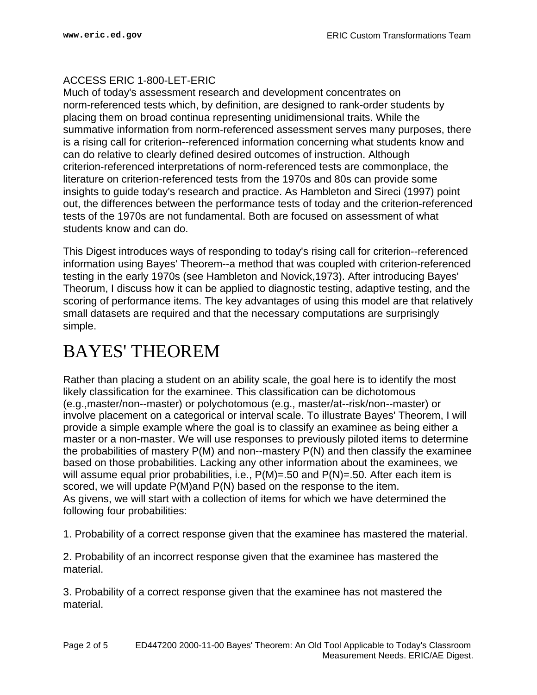#### ACCESS ERIC 1-800-LET-ERIC

Much of today's assessment research and development concentrates on norm-referenced tests which, by definition, are designed to rank-order students by placing them on broad continua representing unidimensional traits. While the summative information from norm-referenced assessment serves many purposes, there is a rising call for criterion--referenced information concerning what students know and can do relative to clearly defined desired outcomes of instruction. Although criterion-referenced interpretations of norm-referenced tests are commonplace, the literature on criterion-referenced tests from the 1970s and 80s can provide some insights to guide today's research and practice. As Hambleton and Sireci (1997) point out, the differences between the performance tests of today and the criterion-referenced tests of the 1970s are not fundamental. Both are focused on assessment of what students know and can do.

This Digest introduces ways of responding to today's rising call for criterion--referenced information using Bayes' Theorem--a method that was coupled with criterion-referenced testing in the early 1970s (see Hambleton and Novick,1973). After introducing Bayes' Theorum, I discuss how it can be applied to diagnostic testing, adaptive testing, and the scoring of performance items. The key advantages of using this model are that relatively small datasets are required and that the necessary computations are surprisingly simple.

### <span id="page-1-0"></span>BAYES' THEOREM

Rather than placing a student on an ability scale, the goal here is to identify the most likely classification for the examinee. This classification can be dichotomous (e.g.,master/non--master) or polychotomous (e.g., master/at--risk/non--master) or involve placement on a categorical or interval scale. To illustrate Bayes' Theorem, I will provide a simple example where the goal is to classify an examinee as being either a master or a non-master. We will use responses to previously piloted items to determine the probabilities of mastery P(M) and non--mastery P(N) and then classify the examinee based on those probabilities. Lacking any other information about the examinees, we will assume equal prior probabilities, i.e., P(M)=.50 and P(N)=.50. After each item is scored, we will update P(M)and P(N) based on the response to the item. As givens, we will start with a collection of items for which we have determined the following four probabilities:

1. Probability of a correct response given that the examinee has mastered the material.

2. Probability of an incorrect response given that the examinee has mastered the material.

3. Probability of a correct response given that the examinee has not mastered the material.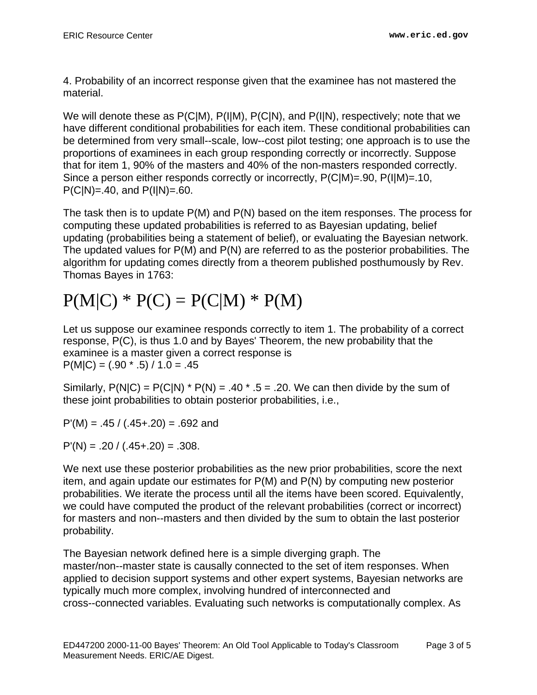4. Probability of an incorrect response given that the examinee has not mastered the material.

We will denote these as P(C|M), P(I|M), P(C|N), and P(I|N), respectively; note that we have different conditional probabilities for each item. These conditional probabilities can be determined from very small--scale, low--cost pilot testing; one approach is to use the proportions of examinees in each group responding correctly or incorrectly. Suppose that for item 1, 90% of the masters and 40% of the non-masters responded correctly. Since a person either responds correctly or incorrectly, P(C|M)=.90, P(I|M)=.10,  $P(C|N)=.40$ , and  $P(I|N)=.60$ .

The task then is to update P(M) and P(N) based on the item responses. The process for computing these updated probabilities is referred to as Bayesian updating, belief updating (probabilities being a statement of belief), or evaluating the Bayesian network. The updated values for P(M) and P(N) are referred to as the posterior probabilities. The algorithm for updating comes directly from a theorem published posthumously by Rev. Thomas Bayes in 1763:

# <span id="page-2-0"></span> $P(M|C) * P(C) = P(C|M) * P(M)$

Let us suppose our examinee responds correctly to item 1. The probability of a correct response, P(C), is thus 1.0 and by Bayes' Theorem, the new probability that the examinee is a master given a correct response is  $P(M|C) = (.90 \times .5) / 1.0 = .45$ 

Similarly,  $P(N|C) = P(C|N) * P(N) = .40 * .5 = .20$ . We can then divide by the sum of these joint probabilities to obtain posterior probabilities, i.e.,

 $P'(M) = .45 / (.45+.20) = .692$  and

 $P'(N) = .20 / (.45+.20) = .308.$ 

We next use these posterior probabilities as the new prior probabilities, score the next item, and again update our estimates for P(M) and P(N) by computing new posterior probabilities. We iterate the process until all the items have been scored. Equivalently, we could have computed the product of the relevant probabilities (correct or incorrect) for masters and non--masters and then divided by the sum to obtain the last posterior probability.

The Bayesian network defined here is a simple diverging graph. The master/non--master state is causally connected to the set of item responses. When applied to decision support systems and other expert systems, Bayesian networks are typically much more complex, involving hundred of interconnected and cross--connected variables. Evaluating such networks is computationally complex. As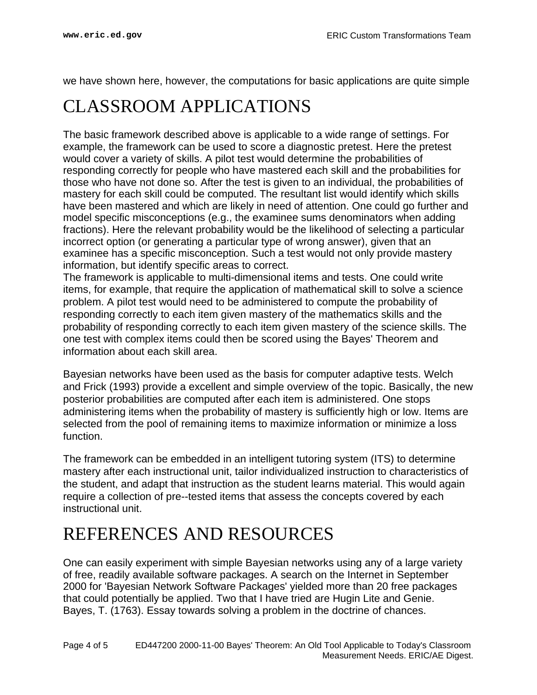we have shown here, however, the computations for basic applications are quite simple

### <span id="page-3-0"></span>CLASSROOM APPLICATIONS

The basic framework described above is applicable to a wide range of settings. For example, the framework can be used to score a diagnostic pretest. Here the pretest would cover a variety of skills. A pilot test would determine the probabilities of responding correctly for people who have mastered each skill and the probabilities for those who have not done so. After the test is given to an individual, the probabilities of mastery for each skill could be computed. The resultant list would identify which skills have been mastered and which are likely in need of attention. One could go further and model specific misconceptions (e.g., the examinee sums denominators when adding fractions). Here the relevant probability would be the likelihood of selecting a particular incorrect option (or generating a particular type of wrong answer), given that an examinee has a specific misconception. Such a test would not only provide mastery information, but identify specific areas to correct.

The framework is applicable to multi-dimensional items and tests. One could write items, for example, that require the application of mathematical skill to solve a science problem. A pilot test would need to be administered to compute the probability of responding correctly to each item given mastery of the mathematics skills and the probability of responding correctly to each item given mastery of the science skills. The one test with complex items could then be scored using the Bayes' Theorem and information about each skill area.

Bayesian networks have been used as the basis for computer adaptive tests. Welch and Frick (1993) provide a excellent and simple overview of the topic. Basically, the new posterior probabilities are computed after each item is administered. One stops administering items when the probability of mastery is sufficiently high or low. Items are selected from the pool of remaining items to maximize information or minimize a loss function.

The framework can be embedded in an intelligent tutoring system (ITS) to determine mastery after each instructional unit, tailor individualized instruction to characteristics of the student, and adapt that instruction as the student learns material. This would again require a collection of pre--tested items that assess the concepts covered by each instructional unit.

### <span id="page-3-1"></span>REFERENCES AND RESOURCES

One can easily experiment with simple Bayesian networks using any of a large variety of free, readily available software packages. A search on the Internet in September 2000 for 'Bayesian Network Software Packages' yielded more than 20 free packages that could potentially be applied. Two that I have tried are Hugin Lite and Genie. Bayes, T. (1763). Essay towards solving a problem in the doctrine of chances.